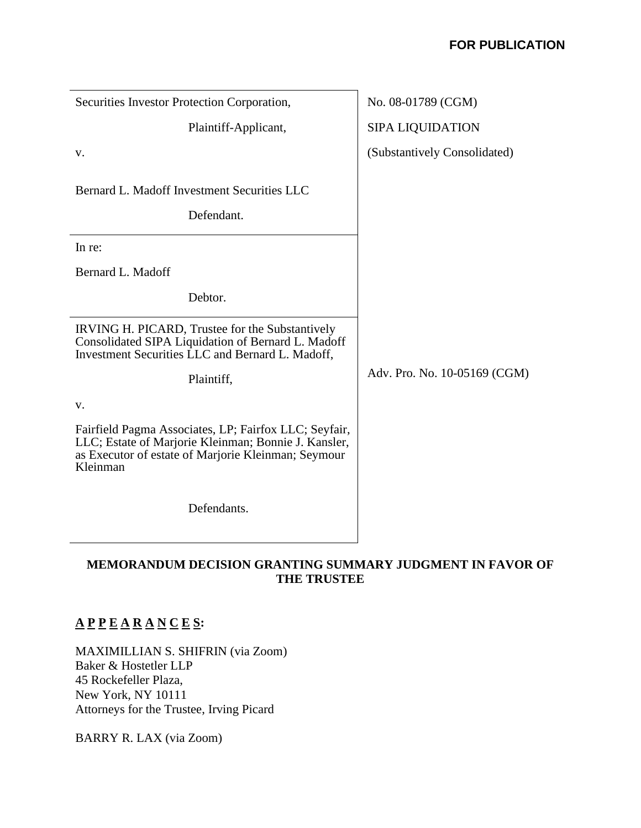| Securities Investor Protection Corporation,                                                                                                                                      | No. 08-01789 (CGM)           |
|----------------------------------------------------------------------------------------------------------------------------------------------------------------------------------|------------------------------|
| Plaintiff-Applicant,                                                                                                                                                             | <b>SIPA LIQUIDATION</b>      |
| V.                                                                                                                                                                               | (Substantively Consolidated) |
| Bernard L. Madoff Investment Securities LLC                                                                                                                                      |                              |
| Defendant.                                                                                                                                                                       |                              |
| In re:                                                                                                                                                                           |                              |
| Bernard L. Madoff                                                                                                                                                                |                              |
| Debtor.                                                                                                                                                                          |                              |
| IRVING H. PICARD, Trustee for the Substantively<br>Consolidated SIPA Liquidation of Bernard L. Madoff<br>Investment Securities LLC and Bernard L. Madoff,                        |                              |
| Plaintiff,                                                                                                                                                                       | Adv. Pro. No. 10-05169 (CGM) |
| v.                                                                                                                                                                               |                              |
| Fairfield Pagma Associates, LP; Fairfox LLC; Seyfair,<br>LLC; Estate of Marjorie Kleinman; Bonnie J. Kansler,<br>as Executor of estate of Marjorie Kleinman; Seymour<br>Kleinman |                              |
| Defendants.                                                                                                                                                                      |                              |
|                                                                                                                                                                                  |                              |

# **MEMORANDUM DECISION GRANTING SUMMARY JUDGMENT IN FAVOR OF THE TRUSTEE**

# **A P P E A R A N C E S:**

MAXIMILLIAN S. SHIFRIN (via Zoom) Baker & Hostetler LLP 45 Rockefeller Plaza, New York, NY 10111 Attorneys for the Trustee, Irving Picard

BARRY R. LAX (via Zoom)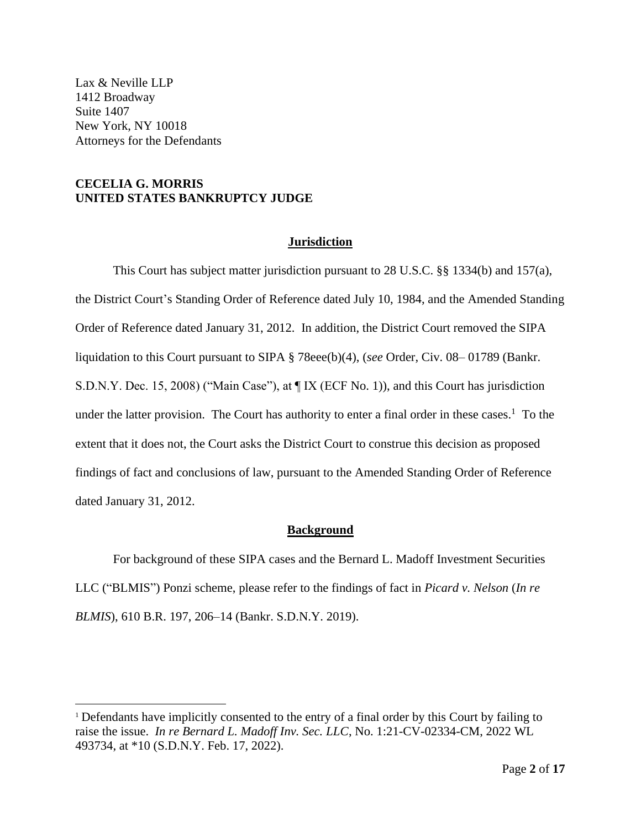Lax & Neville LLP 1412 Broadway Suite 1407 New York, NY 10018 Attorneys for the Defendants

# **CECELIA G. MORRIS UNITED STATES BANKRUPTCY JUDGE**

# **Jurisdiction**

This Court has subject matter jurisdiction pursuant to 28 U.S.C. §§ 1334(b) and 157(a), the District Court's Standing Order of Reference dated July 10, 1984, and the Amended Standing Order of Reference dated January 31, 2012. In addition, the District Court removed the SIPA liquidation to this Court pursuant to SIPA § 78eee(b)(4), (*see* Order, Civ. 08– 01789 (Bankr. S.D.N.Y. Dec. 15, 2008) ("Main Case"), at ¶ IX (ECF No. 1)), and this Court has jurisdiction under the latter provision. The Court has authority to enter a final order in these cases.<sup>1</sup> To the extent that it does not, the Court asks the District Court to construe this decision as proposed findings of fact and conclusions of law, pursuant to the Amended Standing Order of Reference dated January 31, 2012.

## **Background**

For background of these SIPA cases and the Bernard L. Madoff Investment Securities LLC ("BLMIS") Ponzi scheme, please refer to the findings of fact in *Picard v. Nelson* (*In re BLMIS*), 610 B.R. 197, 206–14 (Bankr. S.D.N.Y. 2019).

<sup>&</sup>lt;sup>1</sup> Defendants have implicitly consented to the entry of a final order by this Court by failing to raise the issue. *In re Bernard L. Madoff Inv. Sec. LLC*, No. 1:21-CV-02334-CM, 2022 WL 493734, at \*10 (S.D.N.Y. Feb. 17, 2022).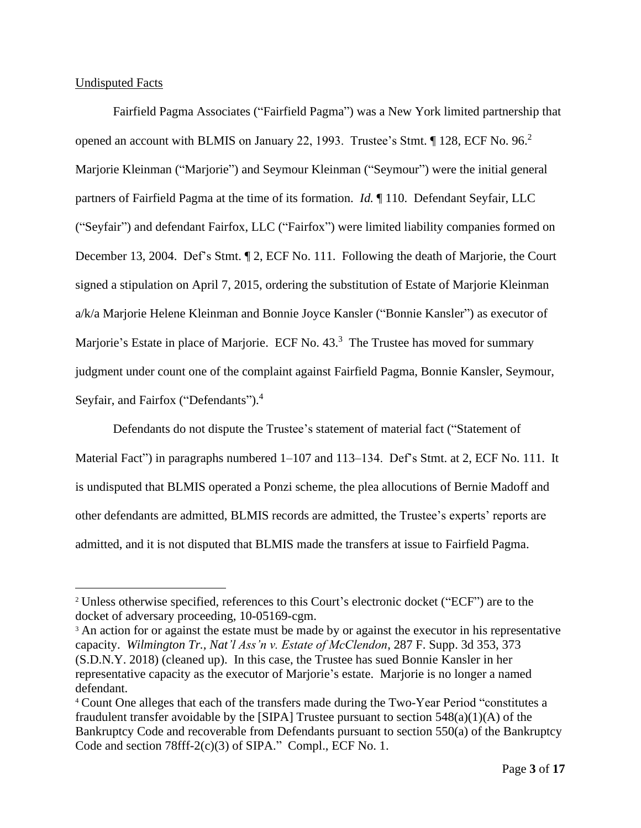## Undisputed Facts

Fairfield Pagma Associates ("Fairfield Pagma") was a New York limited partnership that opened an account with BLMIS on January 22, 1993. Trustee's Stmt. 1 128, ECF No. 96.<sup>2</sup> Marjorie Kleinman ("Marjorie") and Seymour Kleinman ("Seymour") were the initial general partners of Fairfield Pagma at the time of its formation. *Id.* ¶ 110. Defendant Seyfair, LLC ("Seyfair") and defendant Fairfox, LLC ("Fairfox") were limited liability companies formed on December 13, 2004. Def's Stmt. ¶ 2, ECF No. 111. Following the death of Marjorie, the Court signed a stipulation on April 7, 2015, ordering the substitution of Estate of Marjorie Kleinman a/k/a Marjorie Helene Kleinman and Bonnie Joyce Kansler ("Bonnie Kansler") as executor of Marjorie's Estate in place of Marjorie. ECF No.  $43<sup>3</sup>$  The Trustee has moved for summary judgment under count one of the complaint against Fairfield Pagma, Bonnie Kansler, Seymour, Seyfair, and Fairfox ("Defendants").<sup>4</sup>

Defendants do not dispute the Trustee's statement of material fact ("Statement of Material Fact") in paragraphs numbered 1–107 and 113–134. Def's Stmt. at 2, ECF No. 111. It is undisputed that BLMIS operated a Ponzi scheme, the plea allocutions of Bernie Madoff and other defendants are admitted, BLMIS records are admitted, the Trustee's experts' reports are admitted, and it is not disputed that BLMIS made the transfers at issue to Fairfield Pagma.

<sup>2</sup> Unless otherwise specified, references to this Court's electronic docket ("ECF") are to the docket of adversary proceeding, 10-05169-cgm.

<sup>&</sup>lt;sup>3</sup> An action for or against the estate must be made by or against the executor in his representative capacity. *Wilmington Tr., Nat'l Ass'n v. Estate of McClendon*, 287 F. Supp. 3d 353, 373 (S.D.N.Y. 2018) (cleaned up). In this case, the Trustee has sued Bonnie Kansler in her representative capacity as the executor of Marjorie's estate. Marjorie is no longer a named defendant.

<sup>4</sup> Count One alleges that each of the transfers made during the Two-Year Period "constitutes a fraudulent transfer avoidable by the [SIPA] Trustee pursuant to section 548(a)(1)(A) of the Bankruptcy Code and recoverable from Defendants pursuant to section 550(a) of the Bankruptcy Code and section 78fff-2(c)(3) of SIPA." Compl., ECF No. 1.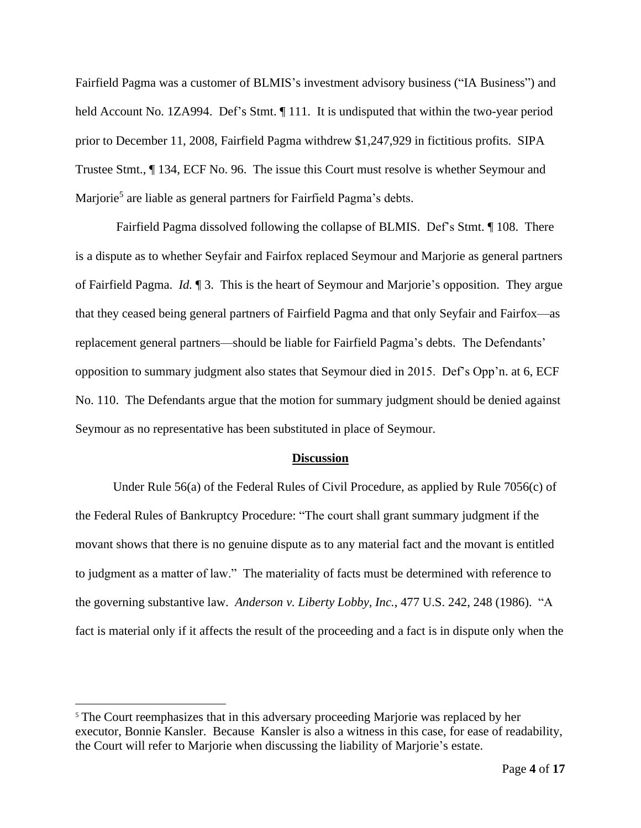Fairfield Pagma was a customer of BLMIS's investment advisory business ("IA Business") and held Account No. 1ZA994. Def's Stmt.  $\P$  111. It is undisputed that within the two-year period prior to December 11, 2008, Fairfield Pagma withdrew \$1,247,929 in fictitious profits. SIPA Trustee Stmt., ¶ 134, ECF No. 96. The issue this Court must resolve is whether Seymour and Marjorie<sup>5</sup> are liable as general partners for Fairfield Pagma's debts.

Fairfield Pagma dissolved following the collapse of BLMIS. Def's Stmt. ¶ 108. There is a dispute as to whether Seyfair and Fairfox replaced Seymour and Marjorie as general partners of Fairfield Pagma. *Id.* ¶ 3. This is the heart of Seymour and Marjorie's opposition. They argue that they ceased being general partners of Fairfield Pagma and that only Seyfair and Fairfox—as replacement general partners—should be liable for Fairfield Pagma's debts. The Defendants' opposition to summary judgment also states that Seymour died in 2015. Def's Opp'n. at 6, ECF No. 110. The Defendants argue that the motion for summary judgment should be denied against Seymour as no representative has been substituted in place of Seymour.

#### **Discussion**

Under Rule 56(a) of the Federal Rules of Civil Procedure, as applied by Rule 7056(c) of the Federal Rules of Bankruptcy Procedure: "The court shall grant summary judgment if the movant shows that there is no genuine dispute as to any material fact and the movant is entitled to judgment as a matter of law." The materiality of facts must be determined with reference to the governing substantive law. *Anderson v. Liberty Lobby, Inc.*, 477 U.S. 242, 248 (1986). "A fact is material only if it affects the result of the proceeding and a fact is in dispute only when the

<sup>&</sup>lt;sup>5</sup> The Court reemphasizes that in this adversary proceeding Marjorie was replaced by her executor, Bonnie Kansler. Because Kansler is also a witness in this case, for ease of readability, the Court will refer to Marjorie when discussing the liability of Marjorie's estate.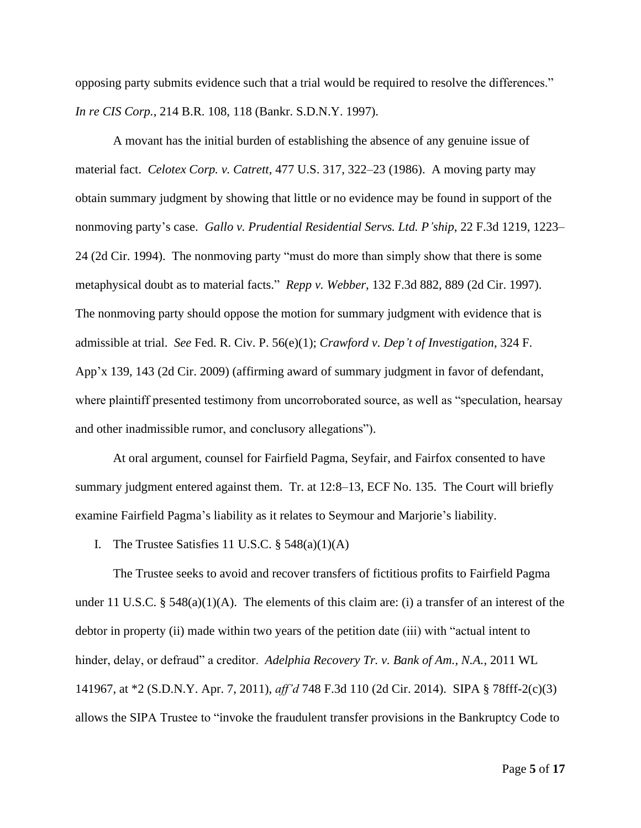opposing party submits evidence such that a trial would be required to resolve the differences." *In re CIS Corp.*, 214 B.R. 108, 118 (Bankr. S.D.N.Y. 1997).

A movant has the initial burden of establishing the absence of any genuine issue of material fact. *Celotex Corp. v. Catrett*, 477 U.S. 317, 322–23 (1986). A moving party may obtain summary judgment by showing that little or no evidence may be found in support of the nonmoving party's case. *Gallo v. Prudential Residential Servs. Ltd. P'ship*, 22 F.3d 1219, 1223– 24 (2d Cir. 1994). The nonmoving party "must do more than simply show that there is some metaphysical doubt as to material facts." *Repp v. Webber*, 132 F.3d 882, 889 (2d Cir. 1997). The nonmoving party should oppose the motion for summary judgment with evidence that is admissible at trial. *See* Fed. R. Civ. P. 56(e)(1); *Crawford v. Dep't of Investigation*, 324 F. App'x 139, 143 (2d Cir. 2009) (affirming award of summary judgment in favor of defendant, where plaintiff presented testimony from uncorroborated source, as well as "speculation, hearsay and other inadmissible rumor, and conclusory allegations").

At oral argument, counsel for Fairfield Pagma, Seyfair, and Fairfox consented to have summary judgment entered against them. Tr. at 12:8–13, ECF No. 135. The Court will briefly examine Fairfield Pagma's liability as it relates to Seymour and Marjorie's liability.

I. The Trustee Satisfies 11 U.S.C.  $\S$  548(a)(1)(A)

The Trustee seeks to avoid and recover transfers of fictitious profits to Fairfield Pagma under 11 U.S.C. §  $548(a)(1)(A)$ . The elements of this claim are: (i) a transfer of an interest of the debtor in property (ii) made within two years of the petition date (iii) with "actual intent to hinder, delay, or defraud" a creditor. *Adelphia Recovery Tr. v. Bank of Am., N.A.*, 2011 WL 141967, at \*2 (S.D.N.Y. Apr. 7, 2011), *aff'd* 748 F.3d 110 (2d Cir. 2014). SIPA § 78fff-2(c)(3) allows the SIPA Trustee to "invoke the fraudulent transfer provisions in the Bankruptcy Code to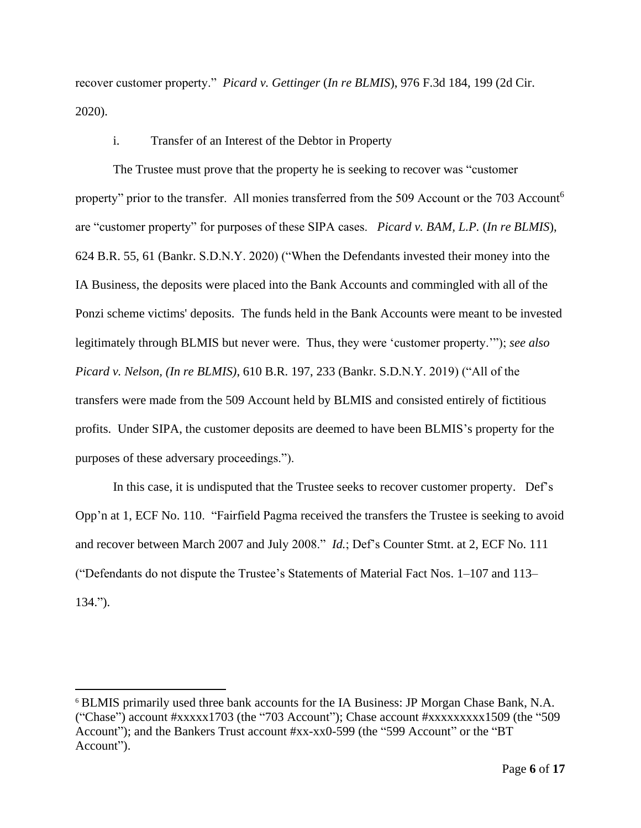recover customer property." *Picard v. Gettinger* (*In re BLMIS*), 976 F.3d 184, 199 (2d Cir. 2020).

# i. Transfer of an Interest of the Debtor in Property

The Trustee must prove that the property he is seeking to recover was "customer property" prior to the transfer. All monies transferred from the 509 Account or the 703 Account<sup>6</sup> are "customer property" for purposes of these SIPA cases. *Picard v. BAM, L.P.* (*In re BLMIS*), 624 B.R. 55, 61 (Bankr. S.D.N.Y. 2020) ("When the Defendants invested their money into the IA Business, the deposits were placed into the Bank Accounts and commingled with all of the Ponzi scheme victims' deposits. The funds held in the Bank Accounts were meant to be invested legitimately through BLMIS but never were. Thus, they were 'customer property.'"); *see also Picard v. Nelson, (In re BLMIS)*, 610 B.R. 197, 233 (Bankr. S.D.N.Y. 2019) ("All of the transfers were made from the 509 Account held by BLMIS and consisted entirely of fictitious profits. Under SIPA, the customer deposits are deemed to have been BLMIS's property for the purposes of these adversary proceedings.").

In this case, it is undisputed that the Trustee seeks to recover customer property. Def's Opp'n at 1, ECF No. 110. "Fairfield Pagma received the transfers the Trustee is seeking to avoid and recover between March 2007 and July 2008." *Id.*; Def's Counter Stmt. at 2, ECF No. 111 ("Defendants do not dispute the Trustee's Statements of Material Fact Nos. 1–107 and 113– 134.").

<sup>6</sup> BLMIS primarily used three bank accounts for the IA Business: JP Morgan Chase Bank, N.A. ("Chase") account #xxxxx1703 (the "703 Account"); Chase account #xxxxxxxxx1509 (the "509 Account"); and the Bankers Trust account #xx-xx0-599 (the "599 Account" or the "BT Account").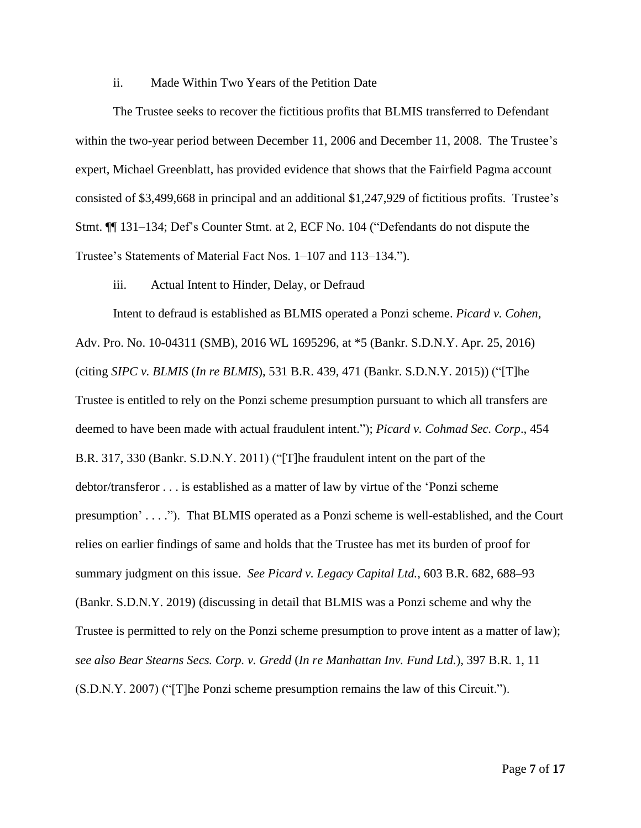### ii. Made Within Two Years of the Petition Date

The Trustee seeks to recover the fictitious profits that BLMIS transferred to Defendant within the two-year period between December 11, 2006 and December 11, 2008. The Trustee's expert, Michael Greenblatt, has provided evidence that shows that the Fairfield Pagma account consisted of \$3,499,668 in principal and an additional \$1,247,929 of fictitious profits. Trustee's Stmt. ¶¶ 131–134; Def's Counter Stmt. at 2, ECF No. 104 ("Defendants do not dispute the Trustee's Statements of Material Fact Nos. 1–107 and 113–134.").

iii. Actual Intent to Hinder, Delay, or Defraud

Intent to defraud is established as BLMIS operated a Ponzi scheme. *Picard v. Cohen*, Adv. Pro. No. 10-04311 (SMB), 2016 WL 1695296, at \*5 (Bankr. S.D.N.Y. Apr. 25, 2016) (citing *SIPC v. BLMIS* (*In re BLMIS*), 531 B.R. 439, 471 (Bankr. S.D.N.Y. 2015)) ("[T]he Trustee is entitled to rely on the Ponzi scheme presumption pursuant to which all transfers are deemed to have been made with actual fraudulent intent."); *Picard v. Cohmad Sec. Corp*., 454 B.R. 317, 330 (Bankr. S.D.N.Y. 2011) ("[T]he fraudulent intent on the part of the debtor/transferor . . . is established as a matter of law by virtue of the 'Ponzi scheme presumption' . . . ."). That BLMIS operated as a Ponzi scheme is well-established, and the Court relies on earlier findings of same and holds that the Trustee has met its burden of proof for summary judgment on this issue. *See Picard v. Legacy Capital Ltd.*, 603 B.R. 682, 688–93 (Bankr. S.D.N.Y. 2019) (discussing in detail that BLMIS was a Ponzi scheme and why the Trustee is permitted to rely on the Ponzi scheme presumption to prove intent as a matter of law); *see also Bear Stearns Secs. Corp. v. Gredd* (*In re Manhattan Inv. Fund Ltd.*), 397 B.R. 1, 11 (S.D.N.Y. 2007) ("[T]he Ponzi scheme presumption remains the law of this Circuit.").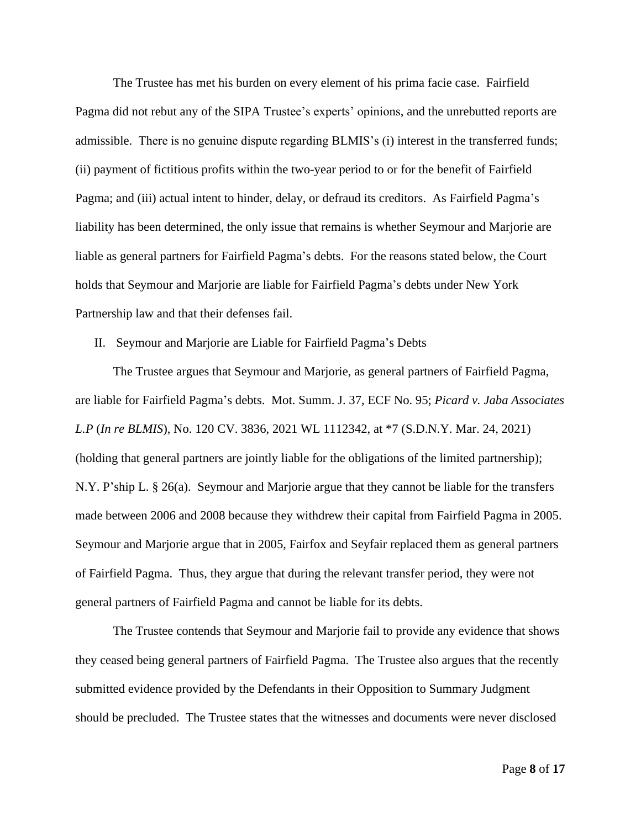The Trustee has met his burden on every element of his prima facie case. Fairfield Pagma did not rebut any of the SIPA Trustee's experts' opinions, and the unrebutted reports are admissible. There is no genuine dispute regarding BLMIS's (i) interest in the transferred funds; (ii) payment of fictitious profits within the two-year period to or for the benefit of Fairfield Pagma; and (iii) actual intent to hinder, delay, or defraud its creditors. As Fairfield Pagma's liability has been determined, the only issue that remains is whether Seymour and Marjorie are liable as general partners for Fairfield Pagma's debts. For the reasons stated below, the Court holds that Seymour and Marjorie are liable for Fairfield Pagma's debts under New York Partnership law and that their defenses fail.

II. Seymour and Marjorie are Liable for Fairfield Pagma's Debts

The Trustee argues that Seymour and Marjorie, as general partners of Fairfield Pagma, are liable for Fairfield Pagma's debts. Mot. Summ. J. 37, ECF No. 95; *Picard v. Jaba Associates L.P* (*In re BLMIS*), No. 120 CV. 3836, 2021 WL 1112342, at \*7 (S.D.N.Y. Mar. 24, 2021) (holding that general partners are jointly liable for the obligations of the limited partnership); N.Y. P'ship L. § 26(a). Seymour and Marjorie argue that they cannot be liable for the transfers made between 2006 and 2008 because they withdrew their capital from Fairfield Pagma in 2005. Seymour and Marjorie argue that in 2005, Fairfox and Seyfair replaced them as general partners of Fairfield Pagma. Thus, they argue that during the relevant transfer period, they were not general partners of Fairfield Pagma and cannot be liable for its debts.

The Trustee contends that Seymour and Marjorie fail to provide any evidence that shows they ceased being general partners of Fairfield Pagma. The Trustee also argues that the recently submitted evidence provided by the Defendants in their Opposition to Summary Judgment should be precluded. The Trustee states that the witnesses and documents were never disclosed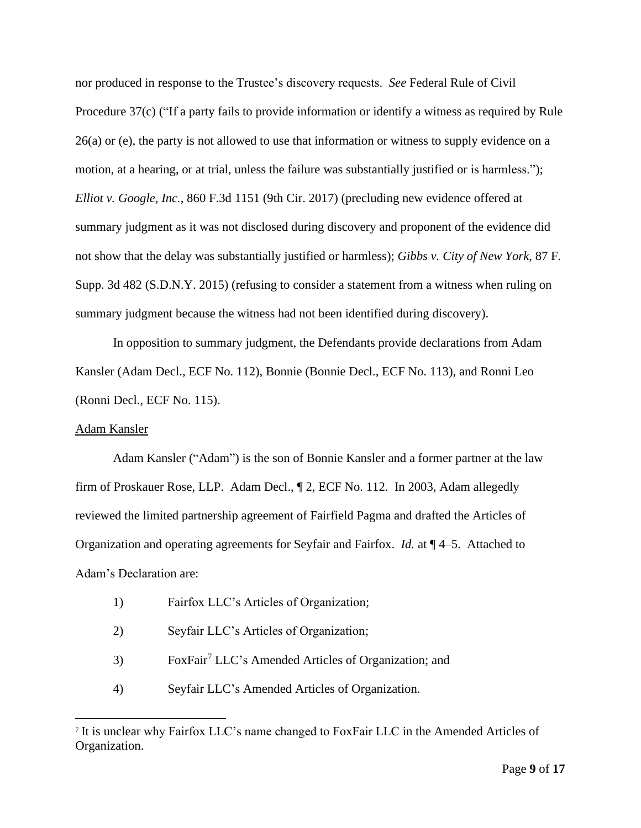nor produced in response to the Trustee's discovery requests. *See* Federal Rule of Civil Procedure 37(c) ("If a party fails to provide information or identify a witness as required by Rule 26(a) or (e), the party is not allowed to use that information or witness to supply evidence on a motion, at a hearing, or at trial, unless the failure was substantially justified or is harmless."); *Elliot v. Google, Inc.*, 860 F.3d 1151 (9th Cir. 2017) (precluding new evidence offered at summary judgment as it was not disclosed during discovery and proponent of the evidence did not show that the delay was substantially justified or harmless); *Gibbs v. City of New York*, 87 F. Supp. 3d 482 (S.D.N.Y. 2015) (refusing to consider a statement from a witness when ruling on summary judgment because the witness had not been identified during discovery).

In opposition to summary judgment, the Defendants provide declarations from Adam Kansler (Adam Decl., ECF No. 112), Bonnie (Bonnie Decl., ECF No. 113), and Ronni Leo (Ronni Decl., ECF No. 115).

## Adam Kansler

Adam Kansler ("Adam") is the son of Bonnie Kansler and a former partner at the law firm of Proskauer Rose, LLP. Adam Decl., ¶ 2, ECF No. 112. In 2003, Adam allegedly reviewed the limited partnership agreement of Fairfield Pagma and drafted the Articles of Organization and operating agreements for Seyfair and Fairfox. *Id.* at ¶ 4–5. Attached to Adam's Declaration are:

- 1) Fairfox LLC's Articles of Organization;
- 2) Seyfair LLC's Articles of Organization;
- 3) FoxFair<sup>7</sup> LLC's Amended Articles of Organization; and
- 4) Seyfair LLC's Amended Articles of Organization.

<sup>7</sup> It is unclear why Fairfox LLC's name changed to FoxFair LLC in the Amended Articles of Organization.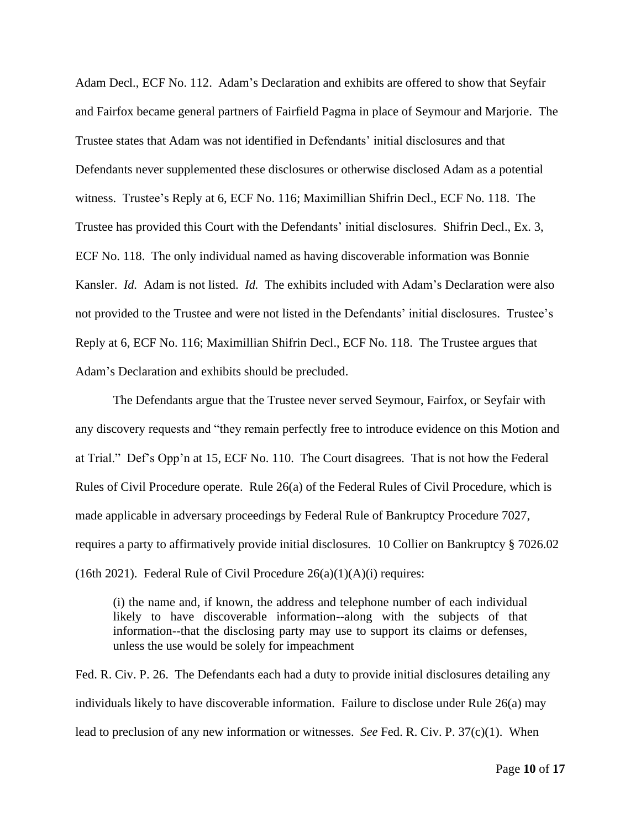Adam Decl., ECF No. 112. Adam's Declaration and exhibits are offered to show that Seyfair and Fairfox became general partners of Fairfield Pagma in place of Seymour and Marjorie. The Trustee states that Adam was not identified in Defendants' initial disclosures and that Defendants never supplemented these disclosures or otherwise disclosed Adam as a potential witness. Trustee's Reply at 6, ECF No. 116; Maximillian Shifrin Decl., ECF No. 118. The Trustee has provided this Court with the Defendants' initial disclosures. Shifrin Decl., Ex. 3, ECF No. 118. The only individual named as having discoverable information was Bonnie Kansler. *Id.* Adam is not listed. *Id.* The exhibits included with Adam's Declaration were also not provided to the Trustee and were not listed in the Defendants' initial disclosures. Trustee's Reply at 6, ECF No. 116; Maximillian Shifrin Decl., ECF No. 118. The Trustee argues that Adam's Declaration and exhibits should be precluded.

The Defendants argue that the Trustee never served Seymour, Fairfox, or Seyfair with any discovery requests and "they remain perfectly free to introduce evidence on this Motion and at Trial." Def's Opp'n at 15, ECF No. 110. The Court disagrees. That is not how the Federal Rules of Civil Procedure operate. Rule 26(a) of the Federal Rules of Civil Procedure, which is made applicable in adversary proceedings by Federal Rule of Bankruptcy Procedure 7027, requires a party to affirmatively provide initial disclosures. 10 Collier on Bankruptcy § 7026.02 (16th 2021). Federal Rule of Civil Procedure  $26(a)(1)(A)(i)$  requires:

(i) the name and, if known, the address and telephone number of each individual likely to have discoverable information--along with the subjects of that information--that the disclosing party may use to support its claims or defenses, unless the use would be solely for impeachment

Fed. R. Civ. P. 26. The Defendants each had a duty to provide initial disclosures detailing any individuals likely to have discoverable information. Failure to disclose under Rule 26(a) may lead to preclusion of any new information or witnesses. *See* Fed. R. Civ. P. 37(c)(1). When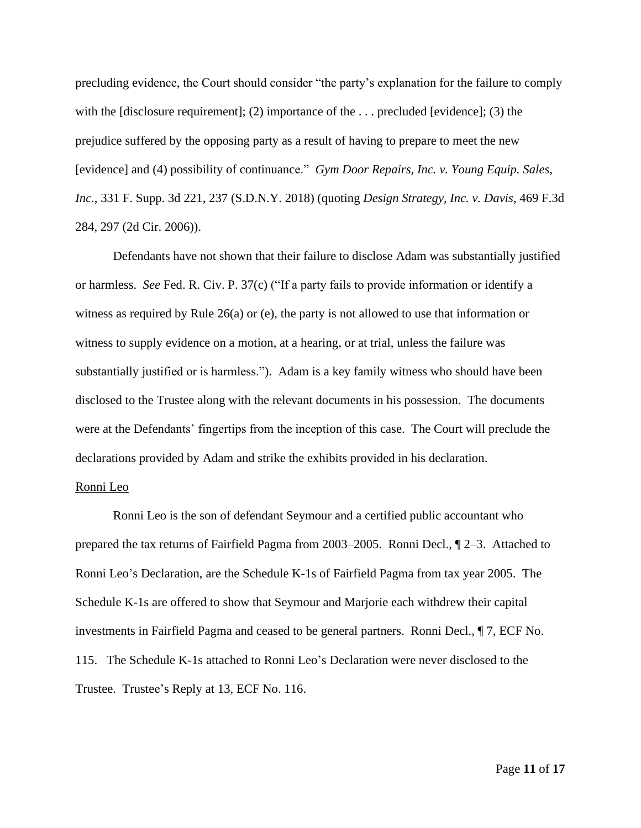precluding evidence, the Court should consider "the party's explanation for the failure to comply with the [disclosure requirement]; (2) importance of the  $\dots$  precluded [evidence]; (3) the prejudice suffered by the opposing party as a result of having to prepare to meet the new [evidence] and (4) possibility of continuance." *Gym Door Repairs, Inc. v. Young Equip. Sales, Inc.*, 331 F. Supp. 3d 221, 237 (S.D.N.Y. 2018) (quoting *Design Strategy, Inc. v. Davis*, 469 F.3d 284, 297 (2d Cir. 2006)).

Defendants have not shown that their failure to disclose Adam was substantially justified or harmless. *See* Fed. R. Civ. P. 37(c) ("If a party fails to provide information or identify a witness as required by Rule 26(a) or (e), the party is not allowed to use that information or witness to supply evidence on a motion, at a hearing, or at trial, unless the failure was substantially justified or is harmless."). Adam is a key family witness who should have been disclosed to the Trustee along with the relevant documents in his possession. The documents were at the Defendants' fingertips from the inception of this case. The Court will preclude the declarations provided by Adam and strike the exhibits provided in his declaration.

### Ronni Leo

Ronni Leo is the son of defendant Seymour and a certified public accountant who prepared the tax returns of Fairfield Pagma from 2003–2005. Ronni Decl., ¶ 2–3. Attached to Ronni Leo's Declaration, are the Schedule K-1s of Fairfield Pagma from tax year 2005. The Schedule K-1s are offered to show that Seymour and Marjorie each withdrew their capital investments in Fairfield Pagma and ceased to be general partners. Ronni Decl., ¶ 7, ECF No. 115. The Schedule K-1s attached to Ronni Leo's Declaration were never disclosed to the Trustee. Trustee's Reply at 13, ECF No. 116.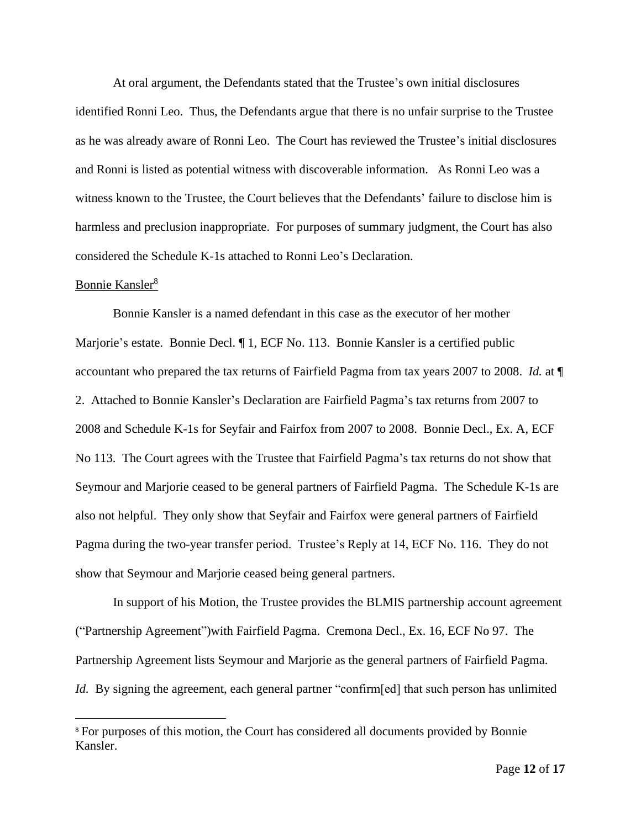At oral argument, the Defendants stated that the Trustee's own initial disclosures identified Ronni Leo. Thus, the Defendants argue that there is no unfair surprise to the Trustee as he was already aware of Ronni Leo. The Court has reviewed the Trustee's initial disclosures and Ronni is listed as potential witness with discoverable information. As Ronni Leo was a witness known to the Trustee, the Court believes that the Defendants' failure to disclose him is harmless and preclusion inappropriate. For purposes of summary judgment, the Court has also considered the Schedule K-1s attached to Ronni Leo's Declaration.

#### Bonnie Kansler<sup>8</sup>

Bonnie Kansler is a named defendant in this case as the executor of her mother Marjorie's estate. Bonnie Decl. ¶ 1, ECF No. 113. Bonnie Kansler is a certified public accountant who prepared the tax returns of Fairfield Pagma from tax years 2007 to 2008. *Id.* at ¶ 2. Attached to Bonnie Kansler's Declaration are Fairfield Pagma's tax returns from 2007 to 2008 and Schedule K-1s for Seyfair and Fairfox from 2007 to 2008. Bonnie Decl., Ex. A, ECF No 113. The Court agrees with the Trustee that Fairfield Pagma's tax returns do not show that Seymour and Marjorie ceased to be general partners of Fairfield Pagma. The Schedule K-1s are also not helpful. They only show that Seyfair and Fairfox were general partners of Fairfield Pagma during the two-year transfer period. Trustee's Reply at 14, ECF No. 116. They do not show that Seymour and Marjorie ceased being general partners.

In support of his Motion, the Trustee provides the BLMIS partnership account agreement ("Partnership Agreement")with Fairfield Pagma. Cremona Decl., Ex. 16, ECF No 97. The Partnership Agreement lists Seymour and Marjorie as the general partners of Fairfield Pagma. *Id.* By signing the agreement, each general partner "confirm[ed] that such person has unlimited

<sup>8</sup> For purposes of this motion, the Court has considered all documents provided by Bonnie Kansler.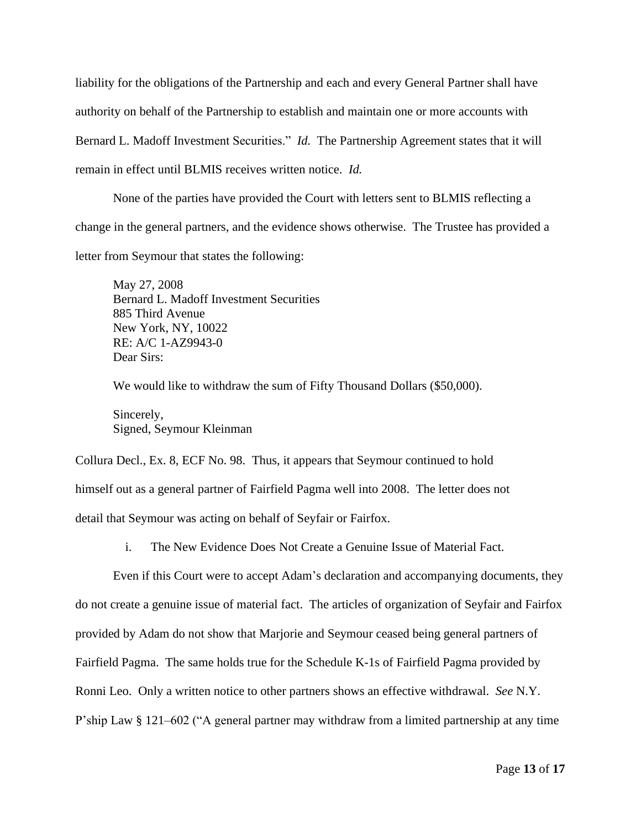liability for the obligations of the Partnership and each and every General Partner shall have authority on behalf of the Partnership to establish and maintain one or more accounts with Bernard L. Madoff Investment Securities." *Id.* The Partnership Agreement states that it will remain in effect until BLMIS receives written notice. *Id.* 

None of the parties have provided the Court with letters sent to BLMIS reflecting a change in the general partners, and the evidence shows otherwise. The Trustee has provided a letter from Seymour that states the following:

May 27, 2008 Bernard L. Madoff Investment Securities 885 Third Avenue New York, NY, 10022 RE: A/C 1-AZ9943-0 Dear Sirs:

We would like to withdraw the sum of Fifty Thousand Dollars (\$50,000).

Sincerely, Signed, Seymour Kleinman

Collura Decl., Ex. 8, ECF No. 98. Thus, it appears that Seymour continued to hold himself out as a general partner of Fairfield Pagma well into 2008. The letter does not detail that Seymour was acting on behalf of Seyfair or Fairfox.

i. The New Evidence Does Not Create a Genuine Issue of Material Fact.

Even if this Court were to accept Adam's declaration and accompanying documents, they do not create a genuine issue of material fact. The articles of organization of Seyfair and Fairfox provided by Adam do not show that Marjorie and Seymour ceased being general partners of Fairfield Pagma. The same holds true for the Schedule K-1s of Fairfield Pagma provided by Ronni Leo. Only a written notice to other partners shows an effective withdrawal. *See* N.Y. P'ship Law § 121–602 ("A general partner may withdraw from a limited partnership at any time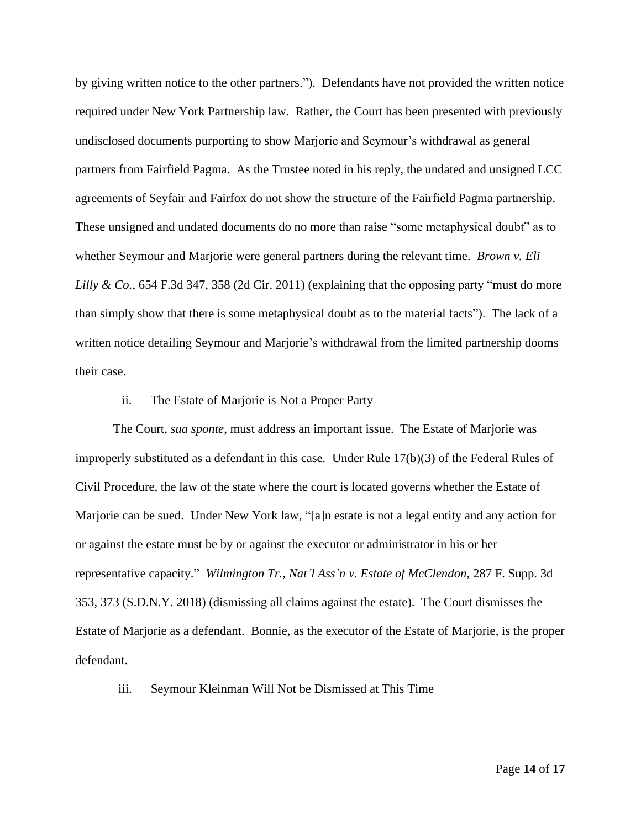by giving written notice to the other partners."). Defendants have not provided the written notice required under New York Partnership law. Rather, the Court has been presented with previously undisclosed documents purporting to show Marjorie and Seymour's withdrawal as general partners from Fairfield Pagma. As the Trustee noted in his reply, the undated and unsigned LCC agreements of Seyfair and Fairfox do not show the structure of the Fairfield Pagma partnership. These unsigned and undated documents do no more than raise "some metaphysical doubt" as to whether Seymour and Marjorie were general partners during the relevant time. *Brown v. Eli Lilly & Co.*, 654 F.3d 347, 358 (2d Cir. 2011) (explaining that the opposing party "must do more than simply show that there is some metaphysical doubt as to the material facts"). The lack of a written notice detailing Seymour and Marjorie's withdrawal from the limited partnership dooms their case.

#### ii. The Estate of Marjorie is Not a Proper Party

The Court, *sua sponte*, must address an important issue. The Estate of Marjorie was improperly substituted as a defendant in this case. Under Rule 17(b)(3) of the Federal Rules of Civil Procedure, the law of the state where the court is located governs whether the Estate of Marjorie can be sued. Under New York law, "[a]n estate is not a legal entity and any action for or against the estate must be by or against the executor or administrator in his or her representative capacity." *Wilmington Tr., Nat'l Ass'n v. Estate of McClendon*, 287 F. Supp. 3d 353, 373 (S.D.N.Y. 2018) (dismissing all claims against the estate). The Court dismisses the Estate of Marjorie as a defendant. Bonnie, as the executor of the Estate of Marjorie, is the proper defendant.

iii. Seymour Kleinman Will Not be Dismissed at This Time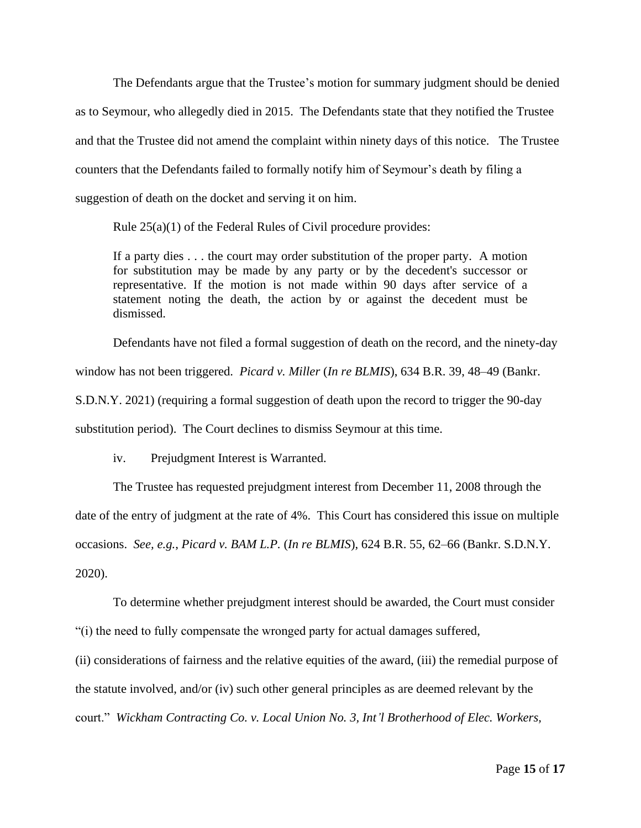The Defendants argue that the Trustee's motion for summary judgment should be denied as to Seymour, who allegedly died in 2015. The Defendants state that they notified the Trustee and that the Trustee did not amend the complaint within ninety days of this notice. The Trustee counters that the Defendants failed to formally notify him of Seymour's death by filing a suggestion of death on the docket and serving it on him.

Rule 25(a)(1) of the Federal Rules of Civil procedure provides:

If a party dies . . . the court may order substitution of the proper party. A motion for substitution may be made by any party or by the decedent's successor or representative. If the motion is not made within 90 days after service of a statement noting the death, the action by or against the decedent must be dismissed.

Defendants have not filed a formal suggestion of death on the record, and the ninety-day

window has not been triggered. *Picard v. Miller* (*In re BLMIS*), 634 B.R. 39, 48–49 (Bankr.

S.D.N.Y. 2021) (requiring a formal suggestion of death upon the record to trigger the 90-day

substitution period). The Court declines to dismiss Seymour at this time.

iv. Prejudgment Interest is Warranted.

The Trustee has requested prejudgment interest from December 11, 2008 through the date of the entry of judgment at the rate of 4%. This Court has considered this issue on multiple occasions. *See, e.g.*, *Picard v. BAM L.P.* (*In re BLMIS*), 624 B.R. 55, 62–66 (Bankr. S.D.N.Y. 2020).

To determine whether prejudgment interest should be awarded, the Court must consider "(i) the need to fully compensate the wronged party for actual damages suffered,

(ii) considerations of fairness and the relative equities of the award, (iii) the remedial purpose of the statute involved, and/or (iv) such other general principles as are deemed relevant by the court." *Wickham Contracting Co. v. Local Union No. 3, Int'l Brotherhood of Elec. Workers,*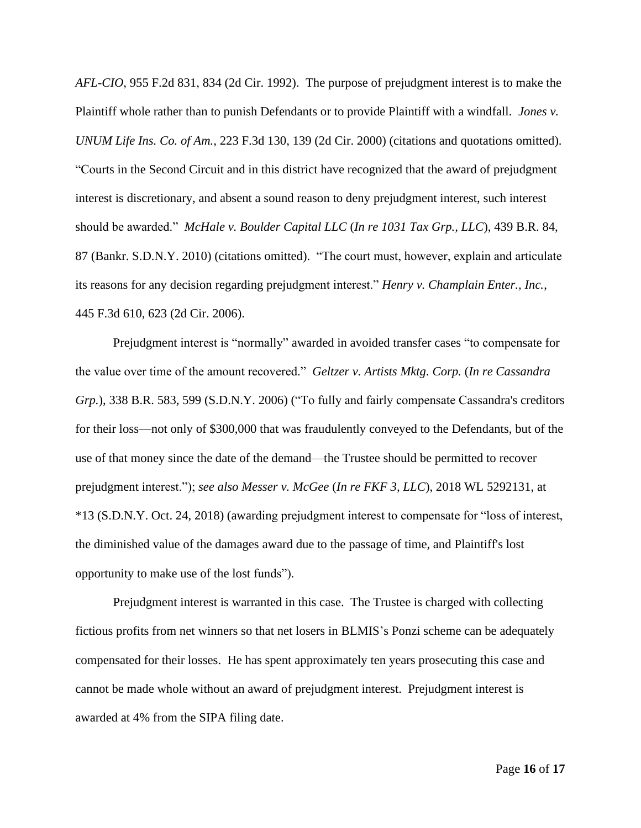*AFL-CIO*, 955 F.2d 831, 834 (2d Cir. 1992). The purpose of prejudgment interest is to make the Plaintiff whole rather than to punish Defendants or to provide Plaintiff with a windfall. *Jones v. UNUM Life Ins. Co. of Am.*, 223 F.3d 130, 139 (2d Cir. 2000) (citations and quotations omitted). "Courts in the Second Circuit and in this district have recognized that the award of prejudgment interest is discretionary, and absent a sound reason to deny prejudgment interest, such interest should be awarded." *McHale v. Boulder Capital LLC* (*In re 1031 Tax Grp., LLC*), 439 B.R. 84, 87 (Bankr. S.D.N.Y. 2010) (citations omitted). "The court must, however, explain and articulate its reasons for any decision regarding prejudgment interest." *Henry v. Champlain Enter., Inc.*, 445 F.3d 610, 623 (2d Cir. 2006).

Prejudgment interest is "normally" awarded in avoided transfer cases "to compensate for the value over time of the amount recovered." *Geltzer v. Artists Mktg. Corp.* (*In re Cassandra Grp.*), 338 B.R. 583, 599 (S.D.N.Y. 2006) ("To fully and fairly compensate Cassandra's creditors for their loss—not only of \$300,000 that was fraudulently conveyed to the Defendants, but of the use of that money since the date of the demand—the Trustee should be permitted to recover prejudgment interest."); *see also Messer v. McGee* (*In re FKF 3, LLC*), 2018 WL 5292131, at \*13 (S.D.N.Y. Oct. 24, 2018) (awarding prejudgment interest to compensate for "loss of interest, the diminished value of the damages award due to the passage of time, and Plaintiff's lost opportunity to make use of the lost funds").

Prejudgment interest is warranted in this case. The Trustee is charged with collecting fictious profits from net winners so that net losers in BLMIS's Ponzi scheme can be adequately compensated for their losses. He has spent approximately ten years prosecuting this case and cannot be made whole without an award of prejudgment interest. Prejudgment interest is awarded at 4% from the SIPA filing date.